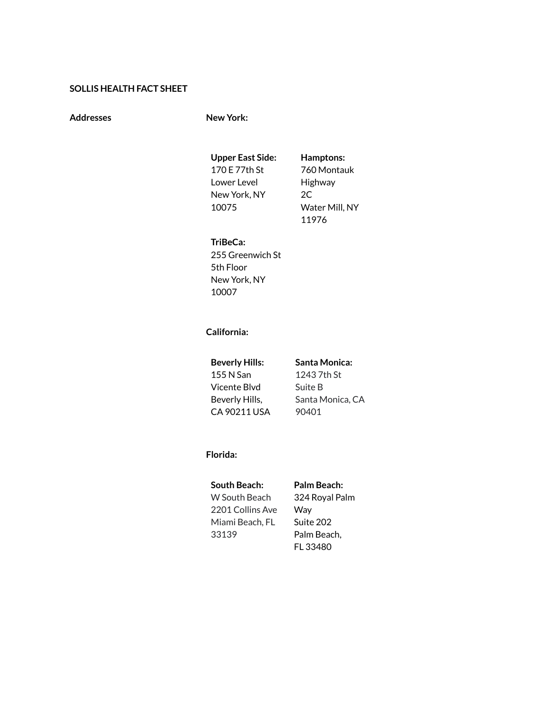## **SOLLIS HEALTH FACT SHEET**

**Addresses New York:**

**Upper East Side:** 170 E 77th St

Lower Level New York, NY 10075

**Hamptons:** 760 Montauk Highway 2C Water Mill, NY 11976

### **TriBeCa:**

255 Greenwich St 5th Floor New York, NY 10007

# **California:**

**Beverly Hills:** 155 N San Vicente Blvd Beverly Hills, CA 90211 USA **Santa Monica:** 1243 7th St Suite B Santa Monica, CA 90401

### **Florida:**

# **South Beach:**

W South Beach 2201 Collins Ave Miami Beach, FL 33139

## **Palm Beach:**

324 Royal Palm Way Suite 202 Palm Beach, FL 33480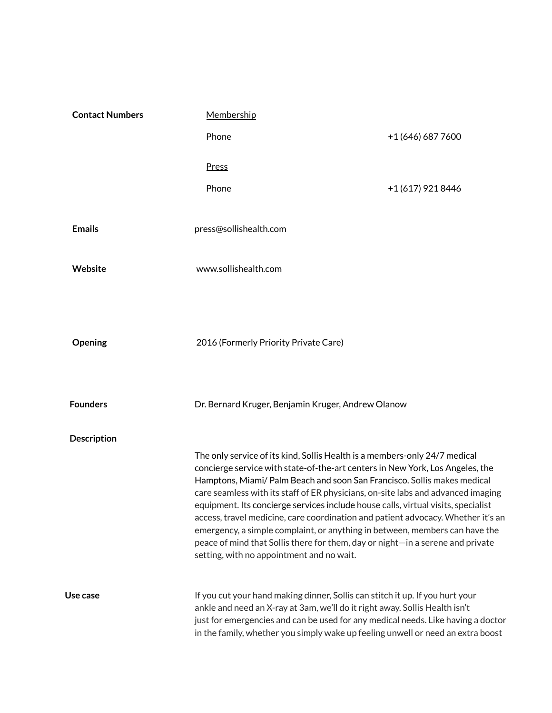| <b>Contact Numbers</b> | Membership                                                                                                                                                                                                                                                                                                                                                                                                                                                                                                                                                                                                                                                                                                         |                   |  |
|------------------------|--------------------------------------------------------------------------------------------------------------------------------------------------------------------------------------------------------------------------------------------------------------------------------------------------------------------------------------------------------------------------------------------------------------------------------------------------------------------------------------------------------------------------------------------------------------------------------------------------------------------------------------------------------------------------------------------------------------------|-------------------|--|
|                        | Phone                                                                                                                                                                                                                                                                                                                                                                                                                                                                                                                                                                                                                                                                                                              | +1 (646) 687 7600 |  |
|                        | Press                                                                                                                                                                                                                                                                                                                                                                                                                                                                                                                                                                                                                                                                                                              |                   |  |
|                        | Phone                                                                                                                                                                                                                                                                                                                                                                                                                                                                                                                                                                                                                                                                                                              | +1 (617) 921 8446 |  |
| <b>Emails</b>          | press@sollishealth.com                                                                                                                                                                                                                                                                                                                                                                                                                                                                                                                                                                                                                                                                                             |                   |  |
| Website                | www.sollishealth.com                                                                                                                                                                                                                                                                                                                                                                                                                                                                                                                                                                                                                                                                                               |                   |  |
| Opening                | 2016 (Formerly Priority Private Care)                                                                                                                                                                                                                                                                                                                                                                                                                                                                                                                                                                                                                                                                              |                   |  |
| <b>Founders</b>        | Dr. Bernard Kruger, Benjamin Kruger, Andrew Olanow                                                                                                                                                                                                                                                                                                                                                                                                                                                                                                                                                                                                                                                                 |                   |  |
| <b>Description</b>     | The only service of its kind, Sollis Health is a members-only 24/7 medical<br>concierge service with state-of-the-art centers in New York, Los Angeles, the<br>Hamptons, Miami/ Palm Beach and soon San Francisco. Sollis makes medical<br>care seamless with its staff of ER physicians, on-site labs and advanced imaging<br>equipment. Its concierge services include house calls, virtual visits, specialist<br>access, travel medicine, care coordination and patient advocacy. Whether it's an<br>emergency, a simple complaint, or anything in between, members can have the<br>peace of mind that Sollis there for them, day or night-in a serene and private<br>setting, with no appointment and no wait. |                   |  |
| Use case               | If you cut your hand making dinner, Sollis can stitch it up. If you hurt your<br>ankle and need an X-ray at 3am, we'll do it right away. Sollis Health isn't<br>just for emergencies and can be used for any medical needs. Like having a doctor<br>in the family, whether you simply wake up feeling unwell or need an extra boost                                                                                                                                                                                                                                                                                                                                                                                |                   |  |